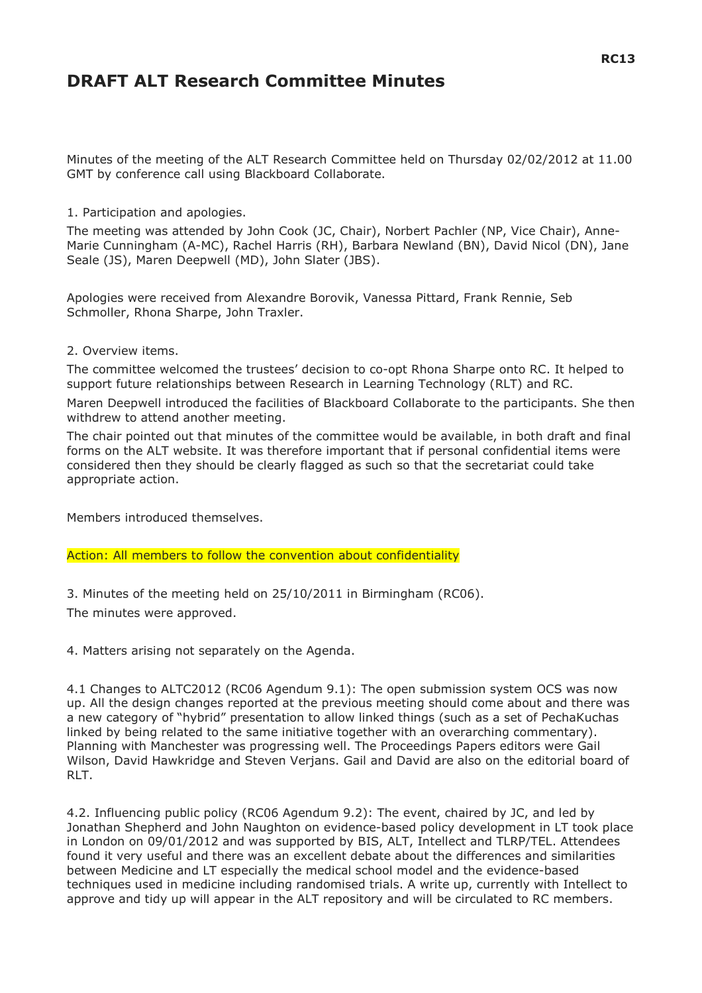# **DRAFT ALT Research Committee Minutes**

Minutes of the meeting of the ALT Research Committee held on Thursday 02/02/2012 at 11.00 GMT by conference call using Blackboard Collaborate.

# 1. Participation and apologies.

The meeting was attended by John Cook (JC, Chair), Norbert Pachler (NP, Vice Chair), Anne-Marie Cunningham (A-MC), Rachel Harris (RH), Barbara Newland (BN), David Nicol (DN), Jane Seale (JS), Maren Deepwell (MD), John Slater (JBS).

Apologies were received from Alexandre Borovik, Vanessa Pittard, Frank Rennie, Seb Schmoller, Rhona Sharpe, John Traxler.

#### 2. Overview items.

The committee welcomed the trustees' decision to co-opt Rhona Sharpe onto RC. It helped to support future relationships between Research in Learning Technology (RLT) and RC.

Maren Deepwell introduced the facilities of Blackboard Collaborate to the participants. She then withdrew to attend another meeting.

The chair pointed out that minutes of the committee would be available, in both draft and final forms on the ALT website. It was therefore important that if personal confidential items were considered then they should be clearly flagged as such so that the secretariat could take appropriate action.

Members introduced themselves.

Action: All members to follow the convention about confidentiality

3. Minutes of the meeting held on 25/10/2011 in Birmingham (RC06). The minutes were approved.

4. Matters arising not separately on the Agenda.

4.1 Changes to ALTC2012 (RC06 Agendum 9.1): The open submission system OCS was now up. All the design changes reported at the previous meeting should come about and there was a new category of "hybrid" presentation to allow linked things (such as a set of PechaKuchas linked by being related to the same initiative together with an overarching commentary). Planning with Manchester was progressing well. The Proceedings Papers editors were Gail Wilson, David Hawkridge and Steven Verjans. Gail and David are also on the editorial board of RLT.

4.2. Influencing public policy (RC06 Agendum 9.2): The event, chaired by JC, and led by Jonathan Shepherd and John Naughton on evidence-based policy development in LT took place in London on 09/01/2012 and was supported by BIS, ALT, Intellect and TLRP/TEL. Attendees found it very useful and there was an excellent debate about the differences and similarities between Medicine and LT especially the medical school model and the evidence-based techniques used in medicine including randomised trials. A write up, currently with Intellect to approve and tidy up will appear in the ALT repository and will be circulated to RC members.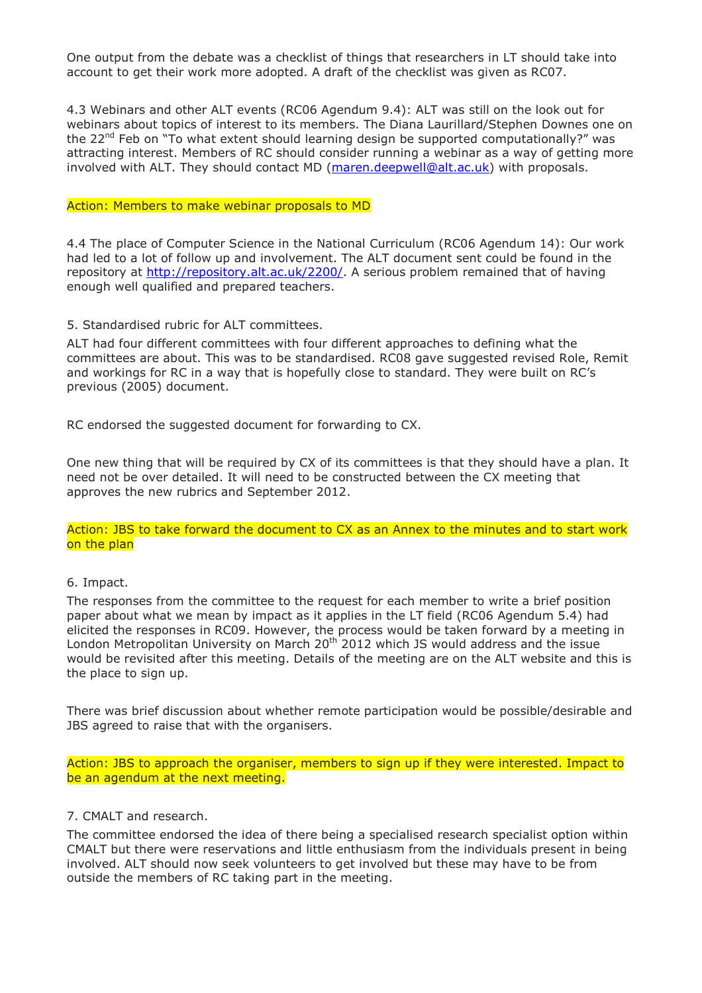One output from the debate was a checklist of things that researchers in LT should take into account to get their work more adopted. A draft of the checklist was given as RC07.

4.3 Webinars and other ALT events (RC06 Agendum 9.4): ALT was still on the look out for webinars about topics of interest to its members. The Diana Laurillard/Stephen Downes one on the  $22^{nd}$  Feb on "To what extent should learning design be supported computationally?" was attracting interest. Members of RC should consider running a webinar as a way of getting more involved with ALT. They should contact MD (maren.deepwell@alt.ac.uk) with proposals.

#### Action: Members to make webinar proposals to MD

4.4 The place of Computer Science in the National Curriculum (RC06 Agendum 14): Our work had led to a lot of follow up and involvement. The ALT document sent could be found in the repository at http://repository.alt.ac.uk/2200/. A serious problem remained that of having enough well qualified and prepared teachers.

5. Standardised rubric for ALT committees.

ALT had four different committees with four different approaches to defining what the committees are about. This was to be standardised. RC08 gave suggested revised Role, Remit and workings for RC in a way that is hopefully close to standard. They were built on RC's previous (2005) document.

RC endorsed the suggested document for forwarding to CX.

One new thing that will be required by CX of its committees is that they should have a plan. It need not be over detailed. It will need to be constructed between the CX meeting that approves the new rubrics and September 2012.

Action: JBS to take forward the document to CX as an Annex to the minutes and to start work on the plan

# 6. Impact.

The responses from the committee to the request for each member to write a brief position paper about what we mean by impact as it applies in the LT field (RC06 Agendum 5.4) had elicited the responses in RC09. However, the process would be taken forward by a meeting in London Metropolitan University on March 20<sup>th</sup> 2012 which JS would address and the issue would be revisited after this meeting. Details of the meeting are on the ALT website and this is the place to sign up.

There was brief discussion about whether remote participation would be possible/desirable and JBS agreed to raise that with the organisers.

Action: JBS to approach the organiser, members to sign up if they were interested. Impact to be an agendum at the next meeting.

# 7. CMALT and research.

The committee endorsed the idea of there being a specialised research specialist option within CMALT but there were reservations and little enthusiasm from the individuals present in being involved. ALT should now seek volunteers to get involved but these may have to be from outside the members of RC taking part in the meeting.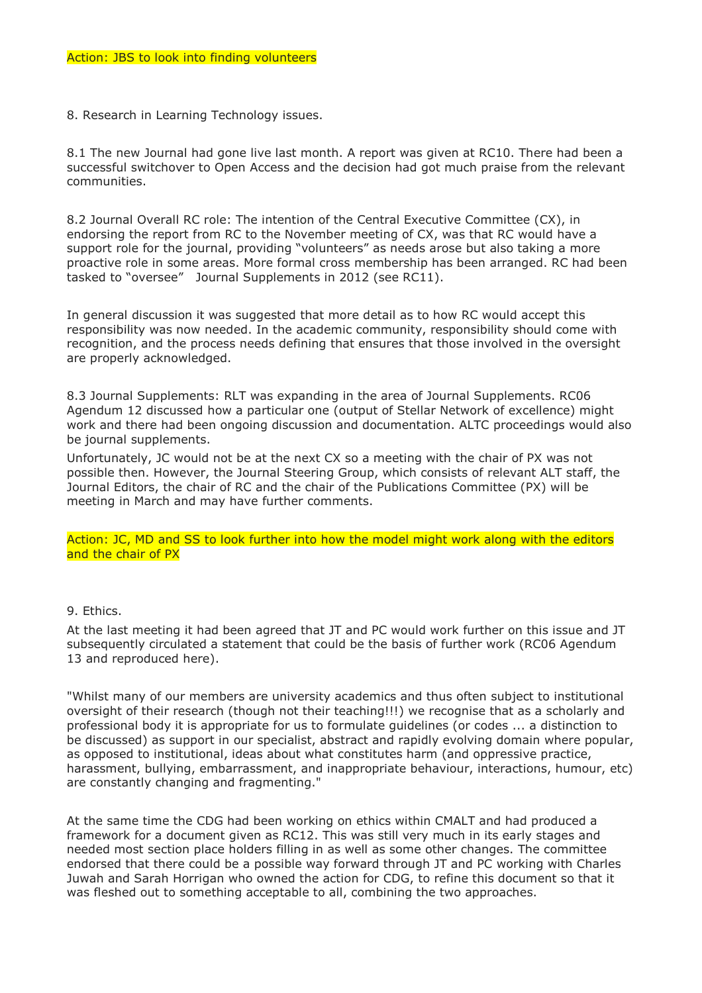8. Research in Learning Technology issues.

8.1 The new Journal had gone live last month. A report was given at RC10. There had been a successful switchover to Open Access and the decision had got much praise from the relevant communities.

8.2 Journal Overall RC role: The intention of the Central Executive Committee (CX), in endorsing the report from RC to the November meeting of CX, was that RC would have a support role for the journal, providing "volunteers" as needs arose but also taking a more proactive role in some areas. More formal cross membership has been arranged. RC had been tasked to "oversee" Journal Supplements in 2012 (see RC11).

In general discussion it was suggested that more detail as to how RC would accept this responsibility was now needed. In the academic community, responsibility should come with recognition, and the process needs defining that ensures that those involved in the oversight are properly acknowledged.

8.3 Journal Supplements: RLT was expanding in the area of Journal Supplements. RC06 Agendum 12 discussed how a particular one (output of Stellar Network of excellence) might work and there had been ongoing discussion and documentation. ALTC proceedings would also be journal supplements.

Unfortunately, JC would not be at the next CX so a meeting with the chair of PX was not possible then. However, the Journal Steering Group, which consists of relevant ALT staff, the Journal Editors, the chair of RC and the chair of the Publications Committee (PX) will be meeting in March and may have further comments.

Action: JC, MD and SS to look further into how the model might work along with the editors and the chair of PX

# 9. Ethics.

At the last meeting it had been agreed that JT and PC would work further on this issue and JT subsequently circulated a statement that could be the basis of further work (RC06 Agendum 13 and reproduced here).

"Whilst many of our members are university academics and thus often subject to institutional oversight of their research (though not their teaching!!!) we recognise that as a scholarly and professional body it is appropriate for us to formulate guidelines (or codes ... a distinction to be discussed) as support in our specialist, abstract and rapidly evolving domain where popular, as opposed to institutional, ideas about what constitutes harm (and oppressive practice, harassment, bullying, embarrassment, and inappropriate behaviour, interactions, humour, etc) are constantly changing and fragmenting."

At the same time the CDG had been working on ethics within CMALT and had produced a framework for a document given as RC12. This was still very much in its early stages and needed most section place holders filling in as well as some other changes. The committee endorsed that there could be a possible way forward through JT and PC working with Charles Juwah and Sarah Horrigan who owned the action for CDG, to refine this document so that it was fleshed out to something acceptable to all, combining the two approaches.